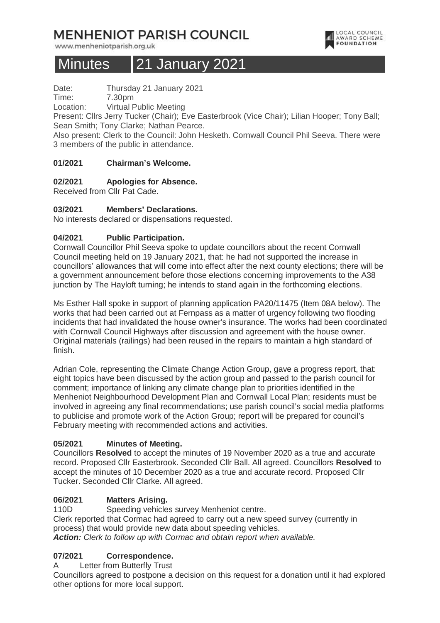# **MENHENIOT PARISH COUNCIL**

www.menheniotparish.org.uk

# Minutes 21 January 2021

Date: Thursday 21 January 2021

Time: 7.30pm

Location: Virtual Public Meeting

Present: Cllrs Jerry Tucker (Chair); Eve Easterbrook (Vice Chair); Lilian Hooper; Tony Ball; Sean Smith; Tony Clarke; Nathan Pearce.

Also present: Clerk to the Council: John Hesketh. Cornwall Council Phil Seeva. There were 3 members of the public in attendance.

## **01/2021 Chairman's Welcome.**

## **02/2021 Apologies for Absence.**

Received from Cllr Pat Cade.

### **03/2021 Members' Declarations.**

No interests declared or dispensations requested.

## **04/2021 Public Participation.**

Cornwall Councillor Phil Seeva spoke to update councillors about the recent Cornwall Council meeting held on 19 January 2021, that: he had not supported the increase in councillors' allowances that will come into effect after the next county elections; there will be a government announcement before those elections concerning improvements to the A38 junction by The Hayloft turning; he intends to stand again in the forthcoming elections.

Ms Esther Hall spoke in support of planning application PA20/11475 (Item 08A below). The works that had been carried out at Fernpass as a matter of urgency following two flooding incidents that had invalidated the house owner's insurance. The works had been coordinated with Cornwall Council Highways after discussion and agreement with the house owner. Original materials (railings) had been reused in the repairs to maintain a high standard of finish.

Adrian Cole, representing the Climate Change Action Group, gave a progress report, that: eight topics have been discussed by the action group and passed to the parish council for comment; importance of linking any climate change plan to priorities identified in the Menheniot Neighbourhood Development Plan and Cornwall Local Plan; residents must be involved in agreeing any final recommendations; use parish council's social media platforms to publicise and promote work of the Action Group; report will be prepared for council's February meeting with recommended actions and activities.

### **05/2021 Minutes of Meeting.**

Councillors **Resolved** to accept the minutes of 19 November 2020 as a true and accurate record. Proposed Cllr Easterbrook. Seconded Cllr Ball. All agreed. Councillors **Resolved** to accept the minutes of 10 December 2020 as a true and accurate record. Proposed Cllr Tucker. Seconded Cllr Clarke. All agreed.

### **06/2021 Matters Arising.**

110D Speeding vehicles survey Menheniot centre. Clerk reported that Cormac had agreed to carry out a new speed survey (currently in process) that would provide new data about speeding vehicles. **Action:** Clerk to follow up with Cormac and obtain report when available.

# **07/2021 Correspondence.**

A Letter from Butterfly Trust

Councillors agreed to postpone a decision on this request for a donation until it had explored other options for more local support.

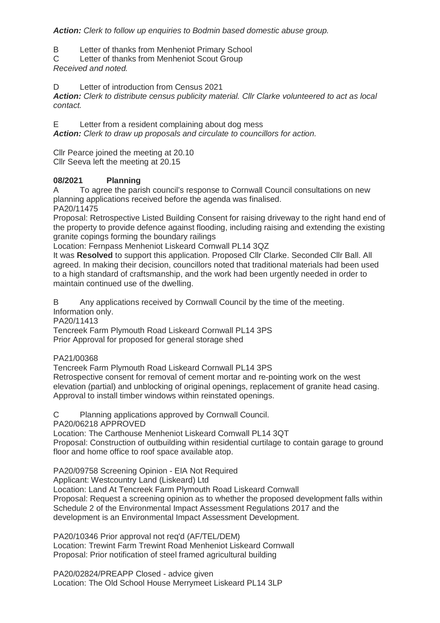**Action:** Clerk to follow up enquiries to Bodmin based domestic abuse group.

B Letter of thanks from Menheniot Primary School

C Letter of thanks from Menheniot Scout Group Received and noted.

D Letter of introduction from Census 2021

**Action:** Clerk to distribute census publicity material. Cllr Clarke volunteered to act as local contact.

E Letter from a resident complaining about dog mess **Action:** Clerk to draw up proposals and circulate to councillors for action.

Cllr Pearce joined the meeting at 20.10 Cllr Seeva left the meeting at 20.15

## **08/2021 Planning**

A To agree the parish council's response to Cornwall Council consultations on new planning applications received before the agenda was finalised.

PA20/11475

Proposal: Retrospective Listed Building Consent for raising driveway to the right hand end of the property to provide defence against flooding, including raising and extending the existing granite copings forming the boundary railings

Location: Fernpass Menheniot Liskeard Cornwall PL14 3QZ

It was **Resolved** to support this application. Proposed Cllr Clarke. Seconded Cllr Ball. All agreed. In making their decision, councillors noted that traditional materials had been used to a high standard of craftsmanship, and the work had been urgently needed in order to maintain continued use of the dwelling.

B Any applications received by Cornwall Council by the time of the meeting. Information only.

PA20/11413

Tencreek Farm Plymouth Road Liskeard Cornwall PL14 3PS

Prior Approval for proposed for general storage shed

PA21/00368

Tencreek Farm Plymouth Road Liskeard Cornwall PL14 3PS

Retrospective consent for removal of cement mortar and re-pointing work on the west elevation (partial) and unblocking of original openings, replacement of granite head casing. Approval to install timber windows within reinstated openings.

C Planning applications approved by Cornwall Council.

PA20/06218 APPROVED

Location: The Carthouse Menheniot Liskeard Cornwall PL14 3QT

Proposal: Construction of outbuilding within residential curtilage to contain garage to ground floor and home office to roof space available atop.

PA20/09758 Screening Opinion - EIA Not Required

Applicant: Westcountry Land (Liskeard) Ltd

Location: Land At Tencreek Farm Plymouth Road Liskeard Cornwall

Proposal: Request a screening opinion as to whether the proposed development falls within Schedule 2 of the Environmental Impact Assessment Regulations 2017 and the development is an Environmental Impact Assessment Development.

PA20/10346 Prior approval not req'd (AF/TEL/DEM) Location: Trewint Farm Trewint Road Menheniot Liskeard Cornwall Proposal: Prior notification of steel framed agricultural building

PA20/02824/PREAPP Closed - advice given Location: The Old School House Merrymeet Liskeard PL14 3LP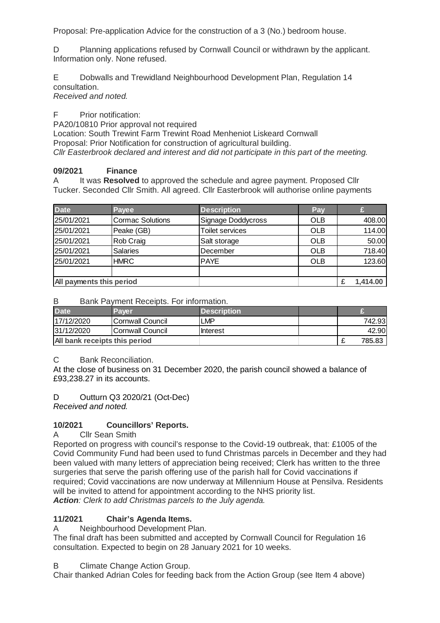Proposal: Pre-application Advice for the construction of a 3 (No.) bedroom house.

D Planning applications refused by Cornwall Council or withdrawn by the applicant. Information only. None refused.

E Dobwalls and Trewidland Neighbourhood Development Plan, Regulation 14 consultation.

Received and noted.

F Prior notification:

PA20/10810 Prior approval not required

Location: South Trewint Farm Trewint Road Menheniot Liskeard Cornwall Proposal: Prior Notification for construction of agricultural building. Cllr Easterbrook declared and interest and did not participate in this part of the meeting.

# **09/2021 Finance**

A It was **Resolved** to approved the schedule and agree payment. Proposed Cllr Tucker. Seconded Cllr Smith. All agreed. Cllr Easterbrook will authorise online payments

| <b>Date</b>              | Payee                   | <b>Description</b>     | Pay        |          |
|--------------------------|-------------------------|------------------------|------------|----------|
| 25/01/2021               | <b>Cormac Solutions</b> | Signage Doddycross     | <b>OLB</b> | 408.00   |
| 25/01/2021               | Peake (GB)              | <b>Toilet services</b> | <b>OLB</b> | 114.00   |
| 25/01/2021               | Rob Craig               | Salt storage           | <b>OLB</b> | 50.00    |
| 25/01/2021               | <b>Salaries</b>         | December               | <b>OLB</b> | 718.40   |
| 25/01/2021               | <b>HMRC</b>             | <b>PAYE</b>            | <b>OLB</b> | 123.60   |
|                          |                         |                        |            |          |
| All payments this period |                         |                        |            | 1,414.00 |

B Bank Payment Receipts. For information.

| <b>Date</b>                   | Paver             | <b>N</b> Description |  |        |
|-------------------------------|-------------------|----------------------|--|--------|
| 17/12/2020                    | lCornwall Council | <b>LMP</b>           |  | 742.93 |
| 31/12/2020                    | lCornwall Council | Ilnterest            |  | 42.90  |
| All bank receipts this period |                   |                      |  | 785.83 |

C Bank Reconciliation.

At the close of business on 31 December 2020, the parish council showed a balance of £93,238.27 in its accounts.

D Outturn Q3 2020/21 (Oct-Dec)

Received and noted.

# **10/2021 Councillors' Reports.**

A Cllr Sean Smith

Reported on progress with council's response to the Covid-19 outbreak, that: £1005 of the Covid Community Fund had been used to fund Christmas parcels in December and they had been valued with many letters of appreciation being received; Clerk has written to the three surgeries that serve the parish offering use of the parish hall for Covid vaccinations if required; Covid vaccinations are now underway at Millennium House at Pensilva. Residents will be invited to attend for appointment according to the NHS priority list. **Action**: Clerk to add Christmas parcels to the July agenda.

# **11/2021 Chair's Agenda Items.**

A Neighbourhood Development Plan.

The final draft has been submitted and accepted by Cornwall Council for Regulation 16 consultation. Expected to begin on 28 January 2021 for 10 weeks.

B Climate Change Action Group.

Chair thanked Adrian Coles for feeding back from the Action Group (see Item 4 above)